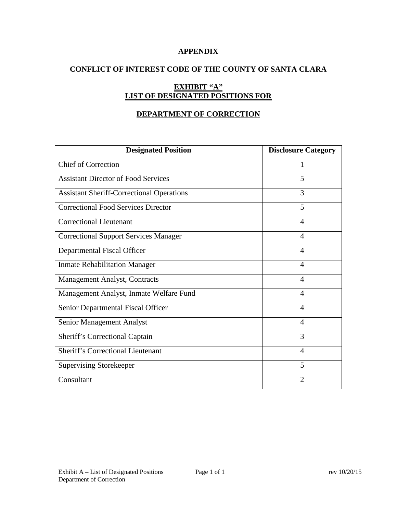### **APPENDIX**

### **CONFLICT OF INTEREST CODE OF THE COUNTY OF SANTA CLARA**

# **EXHIBIT "A" LIST OF DESIGNATED POSITIONS FOR**

## **DEPARTMENT OF CORRECTION**

| <b>Designated Position</b>                       | <b>Disclosure Category</b> |
|--------------------------------------------------|----------------------------|
| <b>Chief of Correction</b>                       | 1                          |
| <b>Assistant Director of Food Services</b>       | 5                          |
| <b>Assistant Sheriff-Correctional Operations</b> | 3                          |
| <b>Correctional Food Services Director</b>       | 5                          |
| <b>Correctional Lieutenant</b>                   | 4                          |
| <b>Correctional Support Services Manager</b>     | 4                          |
| Departmental Fiscal Officer                      | 4                          |
| <b>Inmate Rehabilitation Manager</b>             | 4                          |
| Management Analyst, Contracts                    | $\overline{\mathcal{A}}$   |
| Management Analyst, Inmate Welfare Fund          | 4                          |
| Senior Departmental Fiscal Officer               | $\overline{4}$             |
| Senior Management Analyst                        | $\overline{4}$             |
| Sheriff's Correctional Captain                   | 3                          |
| <b>Sheriff's Correctional Lieutenant</b>         | 4                          |
| <b>Supervising Storekeeper</b>                   | 5                          |
| Consultant                                       | $\overline{2}$             |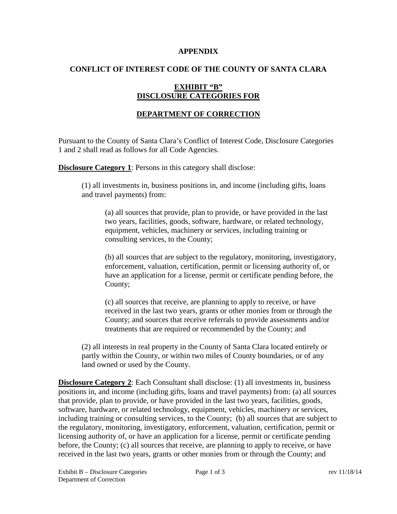#### **APPENDIX**

### **CONFLICT OF INTEREST CODE OF THE COUNTY OF SANTA CLARA**

## **EXHIBIT "B" DISCLOSURE CATEGORIES FOR**

# **DEPARTMENT OF CORRECTION**

Pursuant to the County of Santa Clara's Conflict of Interest Code, Disclosure Categories 1 and 2 shall read as follows for all Code Agencies.

**Disclosure Category 1:** Persons in this category shall disclose:

(1) all investments in, business positions in, and income (including gifts, loans and travel payments) from:

(a) all sources that provide, plan to provide, or have provided in the last two years, facilities, goods, software, hardware, or related technology, equipment, vehicles, machinery or services, including training or consulting services, to the County;

(b) all sources that are subject to the regulatory, monitoring, investigatory, enforcement, valuation, certification, permit or licensing authority of, or have an application for a license, permit or certificate pending before, the County;

(c) all sources that receive, are planning to apply to receive, or have received in the last two years, grants or other monies from or through the County; and sources that receive referrals to provide assessments and/or treatments that are required or recommended by the County; and

(2) all interests in real property in the County of Santa Clara located entirely or partly within the County, or within two miles of County boundaries, or of any land owned or used by the County.

**Disclosure Category 2:** Each Consultant shall disclose: (1) all investments in, business positions in, and income (including gifts, loans and travel payments) from: (a) all sources that provide, plan to provide, or have provided in the last two years, facilities, goods, software, hardware, or related technology, equipment, vehicles, machinery or services, including training or consulting services, to the County; (b) all sources that are subject to the regulatory, monitoring, investigatory, enforcement, valuation, certification, permit or licensing authority of, or have an application for a license, permit or certificate pending before, the County; (c) all sources that receive, are planning to apply to receive, or have received in the last two years, grants or other monies from or through the County; and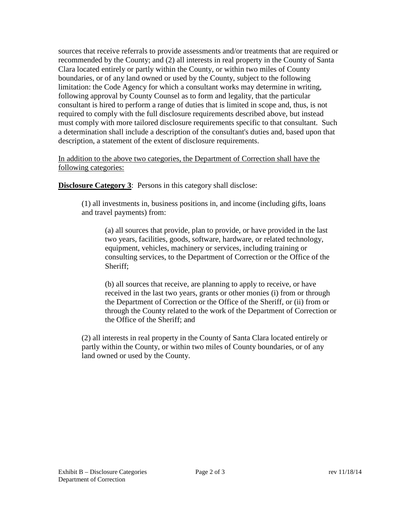sources that receive referrals to provide assessments and/or treatments that are required or recommended by the County; and (2) all interests in real property in the County of Santa Clara located entirely or partly within the County, or within two miles of County boundaries, or of any land owned or used by the County, subject to the following limitation: the Code Agency for which a consultant works may determine in writing, following approval by County Counsel as to form and legality, that the particular consultant is hired to perform a range of duties that is limited in scope and, thus, is not required to comply with the full disclosure requirements described above, but instead must comply with more tailored disclosure requirements specific to that consultant. Such a determination shall include a description of the consultant's duties and, based upon that description, a statement of the extent of disclosure requirements.

In addition to the above two categories, the Department of Correction shall have the following categories:

**Disclosure Category 3:** Persons in this category shall disclose:

(1) all investments in, business positions in, and income (including gifts, loans and travel payments) from:

(a) all sources that provide, plan to provide, or have provided in the last two years, facilities, goods, software, hardware, or related technology, equipment, vehicles, machinery or services, including training or consulting services, to the Department of Correction or the Office of the Sheriff;

(b) all sources that receive, are planning to apply to receive, or have received in the last two years, grants or other monies (i) from or through the Department of Correction or the Office of the Sheriff, or (ii) from or through the County related to the work of the Department of Correction or the Office of the Sheriff; and

(2) all interests in real property in the County of Santa Clara located entirely or partly within the County, or within two miles of County boundaries, or of any land owned or used by the County.